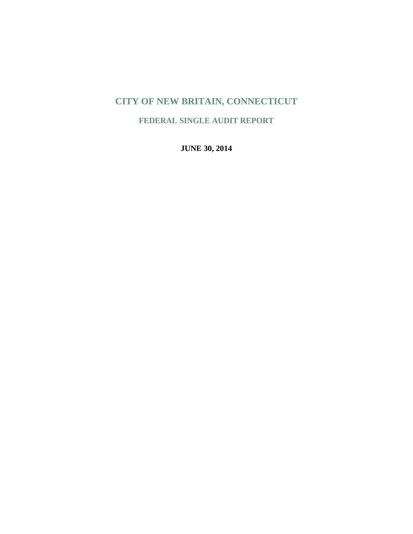# **CITY OF NEW BRITAIN, CONNECTICUT**

**FEDERAL SINGLE AUDIT REPORT** 

**JUNE 30, 2014**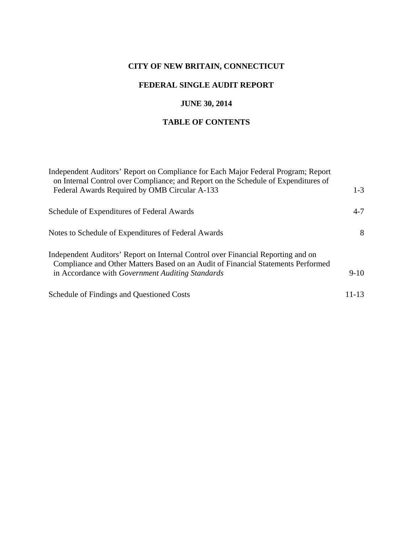# **CITY OF NEW BRITAIN, CONNECTICUT**

## **FEDERAL SINGLE AUDIT REPORT**

## **JUNE 30, 2014**

# **TABLE OF CONTENTS**

| Independent Auditors' Report on Compliance for Each Major Federal Program; Report<br>on Internal Control over Compliance; and Report on the Schedule of Expenditures of |           |
|-------------------------------------------------------------------------------------------------------------------------------------------------------------------------|-----------|
| Federal Awards Required by OMB Circular A-133                                                                                                                           | $1 - 3$   |
| Schedule of Expenditures of Federal Awards                                                                                                                              | $4 - 7$   |
| Notes to Schedule of Expenditures of Federal Awards                                                                                                                     | 8         |
| Independent Auditors' Report on Internal Control over Financial Reporting and on<br>Compliance and Other Matters Based on an Audit of Financial Statements Performed    |           |
| in Accordance with <i>Government Auditing Standards</i>                                                                                                                 | $9-10$    |
| Schedule of Findings and Questioned Costs                                                                                                                               | $11 - 13$ |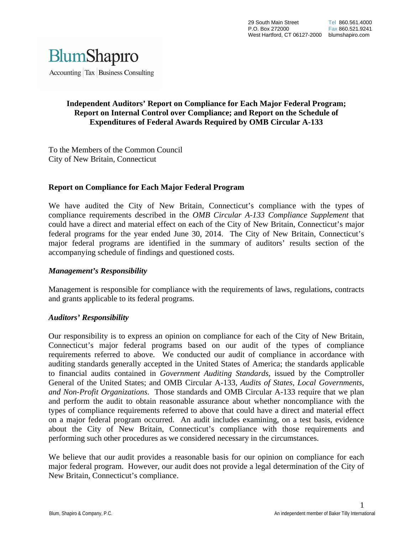

#### **Independent Auditors' Report on Compliance for Each Major Federal Program; Report on Internal Control over Compliance; and Report on the Schedule of Expenditures of Federal Awards Required by OMB Circular A-133**

To the Members of the Common Council City of New Britain, Connecticut

#### **Report on Compliance for Each Major Federal Program**

We have audited the City of New Britain, Connecticut's compliance with the types of compliance requirements described in the *OMB Circular A-133 Compliance Supplement* that could have a direct and material effect on each of the City of New Britain, Connecticut's major federal programs for the year ended June 30, 2014. The City of New Britain, Connecticut's major federal programs are identified in the summary of auditors' results section of the accompanying schedule of findings and questioned costs.

#### *Management's Responsibility*

Management is responsible for compliance with the requirements of laws, regulations, contracts and grants applicable to its federal programs.

#### *Auditors' Responsibility*

Our responsibility is to express an opinion on compliance for each of the City of New Britain, Connecticut's major federal programs based on our audit of the types of compliance requirements referred to above. We conducted our audit of compliance in accordance with auditing standards generally accepted in the United States of America; the standards applicable to financial audits contained in *Government Auditing Standards*, issued by the Comptroller General of the United States; and OMB Circular A-133, *Audits of States, Local Governments, and Non-Profit Organizations*. Those standards and OMB Circular A-133 require that we plan and perform the audit to obtain reasonable assurance about whether noncompliance with the types of compliance requirements referred to above that could have a direct and material effect on a major federal program occurred. An audit includes examining, on a test basis, evidence about the City of New Britain, Connecticut's compliance with those requirements and performing such other procedures as we considered necessary in the circumstances.

We believe that our audit provides a reasonable basis for our opinion on compliance for each major federal program. However, our audit does not provide a legal determination of the City of New Britain, Connecticut's compliance.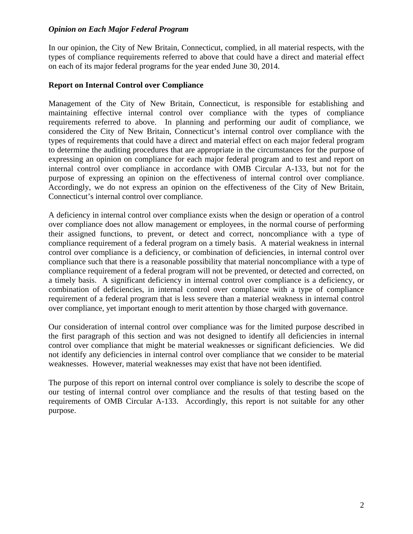#### *Opinion on Each Major Federal Program*

In our opinion, the City of New Britain, Connecticut, complied, in all material respects, with the types of compliance requirements referred to above that could have a direct and material effect on each of its major federal programs for the year ended June 30, 2014.

#### **Report on Internal Control over Compliance**

Management of the City of New Britain, Connecticut, is responsible for establishing and maintaining effective internal control over compliance with the types of compliance requirements referred to above. In planning and performing our audit of compliance, we considered the City of New Britain, Connecticut's internal control over compliance with the types of requirements that could have a direct and material effect on each major federal program to determine the auditing procedures that are appropriate in the circumstances for the purpose of expressing an opinion on compliance for each major federal program and to test and report on internal control over compliance in accordance with OMB Circular A-133, but not for the purpose of expressing an opinion on the effectiveness of internal control over compliance. Accordingly, we do not express an opinion on the effectiveness of the City of New Britain, Connecticut's internal control over compliance.

A deficiency in internal control over compliance exists when the design or operation of a control over compliance does not allow management or employees, in the normal course of performing their assigned functions, to prevent, or detect and correct, noncompliance with a type of compliance requirement of a federal program on a timely basis. A material weakness in internal control over compliance is a deficiency, or combination of deficiencies, in internal control over compliance such that there is a reasonable possibility that material noncompliance with a type of compliance requirement of a federal program will not be prevented, or detected and corrected, on a timely basis. A significant deficiency in internal control over compliance is a deficiency, or combination of deficiencies, in internal control over compliance with a type of compliance requirement of a federal program that is less severe than a material weakness in internal control over compliance, yet important enough to merit attention by those charged with governance.

Our consideration of internal control over compliance was for the limited purpose described in the first paragraph of this section and was not designed to identify all deficiencies in internal control over compliance that might be material weaknesses or significant deficiencies. We did not identify any deficiencies in internal control over compliance that we consider to be material weaknesses. However, material weaknesses may exist that have not been identified.

The purpose of this report on internal control over compliance is solely to describe the scope of our testing of internal control over compliance and the results of that testing based on the requirements of OMB Circular A-133. Accordingly, this report is not suitable for any other purpose.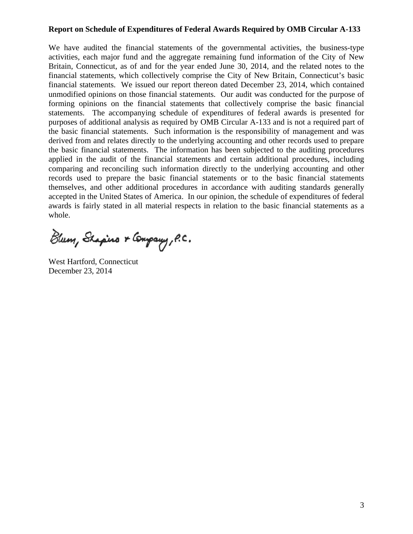#### **Report on Schedule of Expenditures of Federal Awards Required by OMB Circular A-133**

We have audited the financial statements of the governmental activities, the business-type activities, each major fund and the aggregate remaining fund information of the City of New Britain, Connecticut, as of and for the year ended June 30, 2014, and the related notes to the financial statements, which collectively comprise the City of New Britain, Connecticut's basic financial statements. We issued our report thereon dated December 23, 2014, which contained unmodified opinions on those financial statements. Our audit was conducted for the purpose of forming opinions on the financial statements that collectively comprise the basic financial statements. The accompanying schedule of expenditures of federal awards is presented for purposes of additional analysis as required by OMB Circular A-133 and is not a required part of the basic financial statements. Such information is the responsibility of management and was derived from and relates directly to the underlying accounting and other records used to prepare the basic financial statements. The information has been subjected to the auditing procedures applied in the audit of the financial statements and certain additional procedures, including comparing and reconciling such information directly to the underlying accounting and other records used to prepare the basic financial statements or to the basic financial statements themselves, and other additional procedures in accordance with auditing standards generally accepted in the United States of America. In our opinion, the schedule of expenditures of federal awards is fairly stated in all material respects in relation to the basic financial statements as a whole.

Blum, Shapino & Company, P.C.

West Hartford, Connecticut December 23, 2014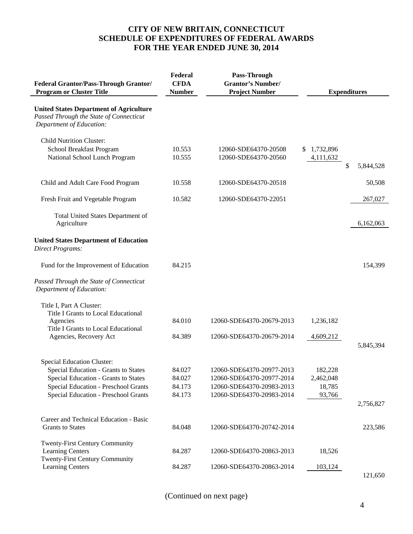#### **CITY OF NEW BRITAIN, CONNECTICUT SCHEDULE OF EXPENDITURES OF FEDERAL AWARDS FOR THE YEAR ENDED JUNE 30, 2014**

| <b>Federal Grantor/Pass-Through Grantor/</b><br><b>Program or Cluster Title</b>                                       | Federal<br><b>CFDA</b><br><b>Number</b> | Pass-Through<br><b>Grantor's Number/</b><br><b>Project Number</b> | <b>Expenditures</b>      |           |
|-----------------------------------------------------------------------------------------------------------------------|-----------------------------------------|-------------------------------------------------------------------|--------------------------|-----------|
| <b>United States Department of Agriculture</b><br>Passed Through the State of Connecticut<br>Department of Education: |                                         |                                                                   |                          |           |
| <b>Child Nutrition Cluster:</b>                                                                                       |                                         |                                                                   |                          |           |
| School Breakfast Program<br>National School Lunch Program                                                             | 10.553<br>10.555                        | 12060-SDE64370-20508<br>12060-SDE64370-20560                      | \$1,732,896<br>4,111,632 |           |
|                                                                                                                       |                                         |                                                                   | \$                       | 5,844,528 |
| Child and Adult Care Food Program                                                                                     | 10.558                                  | 12060-SDE64370-20518                                              |                          | 50,508    |
| Fresh Fruit and Vegetable Program                                                                                     | 10.582                                  | 12060-SDE64370-22051                                              |                          | 267,027   |
| Total United States Department of<br>Agriculture                                                                      |                                         |                                                                   |                          | 6,162,063 |
| <b>United States Department of Education</b><br><b>Direct Programs:</b>                                               |                                         |                                                                   |                          |           |
| Fund for the Improvement of Education                                                                                 | 84.215                                  |                                                                   |                          | 154,399   |
| Passed Through the State of Connecticut<br>Department of Education:                                                   |                                         |                                                                   |                          |           |
| Title I, Part A Cluster:<br>Title I Grants to Local Educational                                                       |                                         |                                                                   |                          |           |
| Agencies                                                                                                              | 84.010                                  | 12060-SDE64370-20679-2013                                         | 1,236,182                |           |
| Title I Grants to Local Educational<br>Agencies, Recovery Act                                                         | 84.389                                  | 12060-SDE64370-20679-2014                                         | 4,609,212                |           |
|                                                                                                                       |                                         |                                                                   |                          | 5,845,394 |
| <b>Special Education Cluster:</b>                                                                                     |                                         |                                                                   |                          |           |
| Special Education - Grants to States                                                                                  | 84.027                                  | 12060-SDE64370-20977-2013                                         | 182.228                  |           |
| Special Education - Grants to States                                                                                  | 84.027                                  | 12060-SDE64370-20977-2014                                         | 2,462,048                |           |
| Special Education - Preschool Grants                                                                                  | 84.173                                  | 12060-SDE64370-20983-2013                                         | 18,785                   |           |
| Special Education - Preschool Grants                                                                                  | 84.173                                  | 12060-SDE64370-20983-2014                                         | 93,766                   | 2,756,827 |
|                                                                                                                       |                                         |                                                                   |                          |           |
| Career and Technical Education - Basic<br><b>Grants</b> to States                                                     | 84.048                                  | 12060-SDE64370-20742-2014                                         |                          | 223,586   |
| <b>Twenty-First Century Community</b><br><b>Learning Centers</b>                                                      | 84.287                                  | 12060-SDE64370-20863-2013                                         | 18,526                   |           |
| Twenty-First Century Community<br>Learning Centers                                                                    | 84.287                                  | 12060-SDE64370-20863-2014                                         | 103,124                  |           |
|                                                                                                                       |                                         |                                                                   |                          | 121,650   |

(Continued on next page)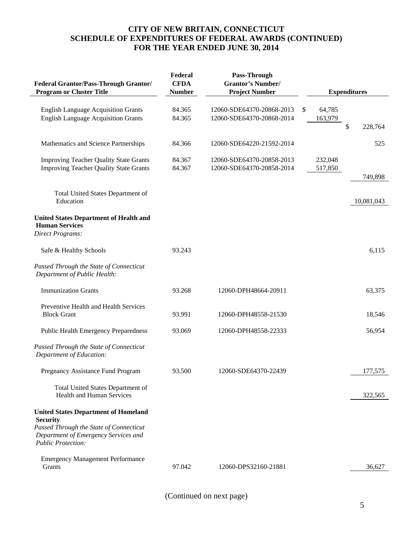### **CITY OF NEW BRITAIN, CONNECTICUT SCHEDULE OF EXPENDITURES OF FEDERAL AWARDS (CONTINUED) FOR THE YEAR ENDED JUNE 30, 2014**

| <b>Federal Grantor/Pass-Through Grantor/</b><br><b>Program or Cluster Title</b>                                                                                                | Federal<br><b>CFDA</b><br><b>Number</b> | Pass-Through<br><b>Grantor's Number/</b><br><b>Project Number</b> |                         | <b>Expenditures</b> |
|--------------------------------------------------------------------------------------------------------------------------------------------------------------------------------|-----------------------------------------|-------------------------------------------------------------------|-------------------------|---------------------|
| <b>English Language Acquisition Grants</b><br><b>English Language Acquisition Grants</b>                                                                                       | 84.365<br>84.365                        | 12060-SDE64370-20868-2013<br>12060-SDE64370-20868-2014            | \$<br>64,785<br>163,979 | \$<br>228,764       |
| Mathematics and Science Partnerships                                                                                                                                           | 84.366                                  | 12060-SDE64220-21592-2014                                         |                         | 525                 |
| <b>Improving Teacher Quality State Grants</b><br><b>Improving Teacher Quality State Grants</b>                                                                                 | 84.367<br>84.367                        | 12060-SDE64370-20858-2013<br>12060-SDE64370-20858-2014            | 232,048<br>517,850      | 749,898             |
| Total United States Department of<br>Education                                                                                                                                 |                                         |                                                                   |                         | 10,081,043          |
| <b>United States Department of Health and</b><br><b>Human Services</b><br><b>Direct Programs:</b>                                                                              |                                         |                                                                   |                         |                     |
| Safe & Healthy Schools                                                                                                                                                         | 93.243                                  |                                                                   |                         | 6,115               |
| Passed Through the State of Connecticut<br>Department of Public Health:                                                                                                        |                                         |                                                                   |                         |                     |
| <b>Immunization Grants</b>                                                                                                                                                     | 93.268                                  | 12060-DPH48664-20911                                              |                         | 63,375              |
| Preventive Health and Health Services<br><b>Block Grant</b>                                                                                                                    | 93.991                                  | 12060-DPH48558-21530                                              |                         | 18,546              |
| <b>Public Health Emergency Preparedness</b>                                                                                                                                    | 93.069                                  | 12060-DPH48558-22333                                              |                         | 56,954              |
| Passed Through the State of Connecticut<br>Department of Education:                                                                                                            |                                         |                                                                   |                         |                     |
| Pregnancy Assistance Fund Program                                                                                                                                              | 93.500                                  | 12060-SDE64370-22439                                              |                         | 177,575             |
| <b>Total United States Department of</b><br><b>Health and Human Services</b>                                                                                                   |                                         |                                                                   |                         | 322,565             |
| <b>United States Department of Homeland</b><br><b>Security</b><br>Passed Through the State of Connecticut<br>Department of Emergency Services and<br><b>Public Protection:</b> |                                         |                                                                   |                         |                     |
| <b>Emergency Management Performance</b><br>Grants                                                                                                                              | 97.042                                  | 12060-DPS32160-21881                                              |                         | 36,627              |

(Continued on next page)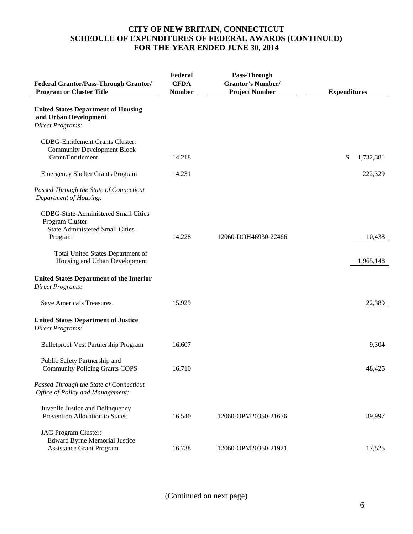### **CITY OF NEW BRITAIN, CONNECTICUT SCHEDULE OF EXPENDITURES OF FEDERAL AWARDS (CONTINUED) FOR THE YEAR ENDED JUNE 30, 2014**

| Federal Grantor/Pass-Through Grantor/                                                                                | Federal<br><b>CFDA</b> | Pass-Through<br><b>Grantor's Number/</b> |                     |
|----------------------------------------------------------------------------------------------------------------------|------------------------|------------------------------------------|---------------------|
| <b>Program or Cluster Title</b>                                                                                      | <b>Number</b>          | <b>Project Number</b>                    | <b>Expenditures</b> |
| <b>United States Department of Housing</b><br>and Urban Development<br><b>Direct Programs:</b>                       |                        |                                          |                     |
| <b>CDBG-Entitlement Grants Cluster:</b><br><b>Community Development Block</b><br>Grant/Entitlement                   | 14.218                 |                                          | \$<br>1,732,381     |
| <b>Emergency Shelter Grants Program</b>                                                                              | 14.231                 |                                          | 222,329             |
| Passed Through the State of Connecticut<br>Department of Housing:                                                    |                        |                                          |                     |
| <b>CDBG-State-Administered Small Cities</b><br>Program Cluster:<br><b>State Administered Small Cities</b><br>Program | 14.228                 | 12060-DOH46930-22466                     | 10,438              |
| Total United States Department of<br>Housing and Urban Development                                                   |                        |                                          | 1,965,148           |
| <b>United States Department of the Interior</b><br><b>Direct Programs:</b>                                           |                        |                                          |                     |
| Save America's Treasures                                                                                             | 15.929                 |                                          | 22,389              |
| <b>United States Department of Justice</b><br><b>Direct Programs:</b>                                                |                        |                                          |                     |
| <b>Bulletproof Vest Partnership Program</b>                                                                          | 16.607                 |                                          | 9,304               |
| Public Safety Partnership and<br><b>Community Policing Grants COPS</b>                                               | 16.710                 |                                          | 48,425              |
| Passed Through the State of Connecticut<br>Office of Policy and Management:                                          |                        |                                          |                     |
| Juvenile Justice and Delinquency<br>Prevention Allocation to States                                                  | 16.540                 | 12060-OPM20350-21676                     | 39,997              |
| JAG Program Cluster:<br><b>Edward Byrne Memorial Justice</b><br><b>Assistance Grant Program</b>                      | 16.738                 | 12060-OPM20350-21921                     | 17,525              |

(Continued on next page)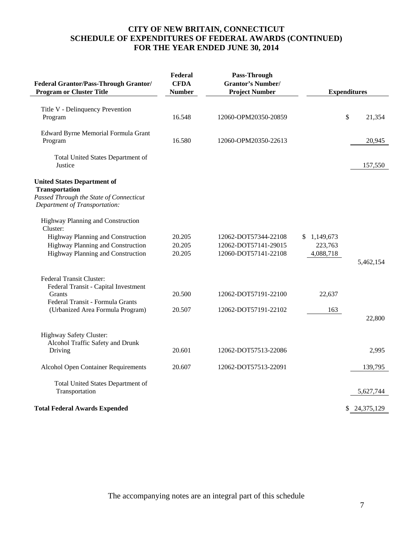### **CITY OF NEW BRITAIN, CONNECTICUT SCHEDULE OF EXPENDITURES OF FEDERAL AWARDS (CONTINUED) FOR THE YEAR ENDED JUNE 30, 2014**

| Federal Grantor/Pass-Through Grantor/<br><b>Program or Cluster Title</b> | Federal<br><b>CFDA</b><br><b>Number</b> | Pass-Through<br><b>Grantor's Number/</b><br><b>Project Number</b> |             | <b>Expenditures</b> |
|--------------------------------------------------------------------------|-----------------------------------------|-------------------------------------------------------------------|-------------|---------------------|
|                                                                          |                                         |                                                                   |             |                     |
| Title V - Delinquency Prevention                                         |                                         |                                                                   |             |                     |
| Program                                                                  | 16.548                                  | 12060-OPM20350-20859                                              |             | \$<br>21,354        |
|                                                                          |                                         |                                                                   |             |                     |
| Edward Byrne Memorial Formula Grant                                      |                                         |                                                                   |             |                     |
| Program                                                                  | 16.580                                  | 12060-OPM20350-22613                                              |             | 20,945              |
|                                                                          |                                         |                                                                   |             |                     |
| Total United States Department of                                        |                                         |                                                                   |             |                     |
| Justice                                                                  |                                         |                                                                   |             | 157,550             |
|                                                                          |                                         |                                                                   |             |                     |
| <b>United States Department of</b><br><b>Transportation</b>              |                                         |                                                                   |             |                     |
| Passed Through the State of Connecticut                                  |                                         |                                                                   |             |                     |
| Department of Transportation:                                            |                                         |                                                                   |             |                     |
|                                                                          |                                         |                                                                   |             |                     |
| Highway Planning and Construction                                        |                                         |                                                                   |             |                     |
| Cluster:                                                                 |                                         |                                                                   |             |                     |
| Highway Planning and Construction                                        | 20.205                                  | 12062-DOT57344-22108                                              | \$1,149,673 |                     |
| Highway Planning and Construction                                        | 20.205                                  | 12062-DOT57141-29015                                              | 223,763     |                     |
| Highway Planning and Construction                                        | 20.205                                  | 12060-DOT57141-22108                                              | 4,088,718   |                     |
|                                                                          |                                         |                                                                   |             | 5,462,154           |
|                                                                          |                                         |                                                                   |             |                     |
| <b>Federal Transit Cluster:</b>                                          |                                         |                                                                   |             |                     |
| Federal Transit - Capital Investment<br>Grants                           | 20.500                                  |                                                                   | 22,637      |                     |
| Federal Transit - Formula Grants                                         |                                         | 12062-DOT57191-22100                                              |             |                     |
| (Urbanized Area Formula Program)                                         | 20.507                                  | 12062-DOT57191-22102                                              | 163         |                     |
|                                                                          |                                         |                                                                   |             | 22,800              |
|                                                                          |                                         |                                                                   |             |                     |
| Highway Safety Cluster:                                                  |                                         |                                                                   |             |                     |
| Alcohol Traffic Safety and Drunk                                         |                                         |                                                                   |             |                     |
| Driving                                                                  | 20.601                                  | 12062-DOT57513-22086                                              |             | 2,995               |
|                                                                          |                                         |                                                                   |             |                     |
| <b>Alcohol Open Container Requirements</b>                               | 20.607                                  | 12062-DOT57513-22091                                              |             | 139,795             |
| <b>Total United States Department of</b>                                 |                                         |                                                                   |             |                     |
| Transportation                                                           |                                         |                                                                   |             | 5,627,744           |
|                                                                          |                                         |                                                                   |             |                     |
| <b>Total Federal Awards Expended</b>                                     |                                         |                                                                   |             | 24,375,129<br>\$    |

The accompanying notes are an integral part of this schedule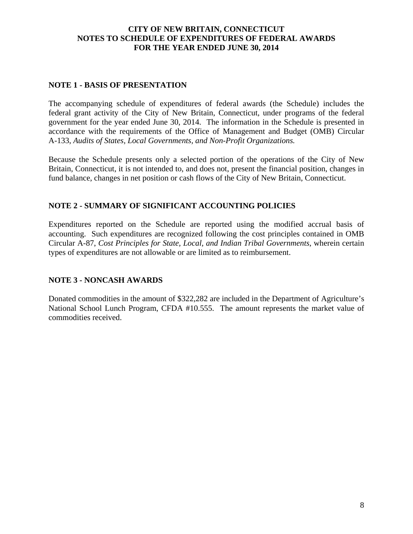#### **CITY OF NEW BRITAIN, CONNECTICUT NOTES TO SCHEDULE OF EXPENDITURES OF FEDERAL AWARDS FOR THE YEAR ENDED JUNE 30, 2014**

#### **NOTE 1 - BASIS OF PRESENTATION**

The accompanying schedule of expenditures of federal awards (the Schedule) includes the federal grant activity of the City of New Britain, Connecticut, under programs of the federal government for the year ended June 30, 2014. The information in the Schedule is presented in accordance with the requirements of the Office of Management and Budget (OMB) Circular A-133, *Audits of States, Local Governments, and Non-Profit Organizations.*

Because the Schedule presents only a selected portion of the operations of the City of New Britain, Connecticut, it is not intended to, and does not, present the financial position, changes in fund balance, changes in net position or cash flows of the City of New Britain, Connecticut.

#### **NOTE 2 - SUMMARY OF SIGNIFICANT ACCOUNTING POLICIES**

Expenditures reported on the Schedule are reported using the modified accrual basis of accounting. Such expenditures are recognized following the cost principles contained in OMB Circular A-87, *Cost Principles for State, Local, and Indian Tribal Governments*, wherein certain types of expenditures are not allowable or are limited as to reimbursement.

#### **NOTE 3 - NONCASH AWARDS**

Donated commodities in the amount of \$322,282 are included in the Department of Agriculture's National School Lunch Program, CFDA #10.555. The amount represents the market value of commodities received.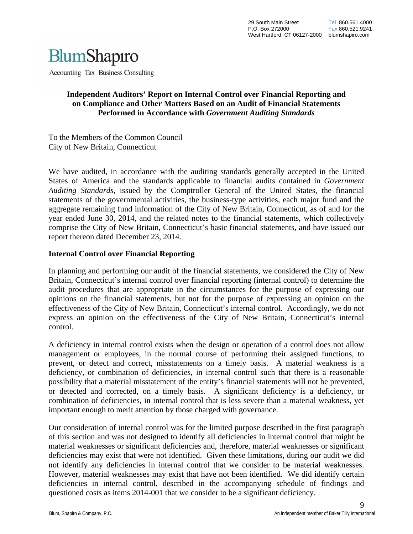

Accounting Tax Business Consulting

#### **Independent Auditors' Report on Internal Control over Financial Reporting and on Compliance and Other Matters Based on an Audit of Financial Statements Performed in Accordance with** *Government Auditing Standards*

To the Members of the Common Council City of New Britain, Connecticut

We have audited, in accordance with the auditing standards generally accepted in the United States of America and the standards applicable to financial audits contained in *Government Auditing Standards*, issued by the Comptroller General of the United States, the financial statements of the governmental activities, the business-type activities, each major fund and the aggregate remaining fund information of the City of New Britain, Connecticut, as of and for the year ended June 30, 2014, and the related notes to the financial statements, which collectively comprise the City of New Britain, Connecticut's basic financial statements, and have issued our report thereon dated December 23, 2014.

#### **Internal Control over Financial Reporting**

In planning and performing our audit of the financial statements, we considered the City of New Britain, Connecticut's internal control over financial reporting (internal control) to determine the audit procedures that are appropriate in the circumstances for the purpose of expressing our opinions on the financial statements, but not for the purpose of expressing an opinion on the effectiveness of the City of New Britain, Connecticut's internal control. Accordingly, we do not express an opinion on the effectiveness of the City of New Britain, Connecticut's internal control.

A deficiency in internal control exists when the design or operation of a control does not allow management or employees, in the normal course of performing their assigned functions, to prevent, or detect and correct, misstatements on a timely basis. A material weakness is a deficiency, or combination of deficiencies, in internal control such that there is a reasonable possibility that a material misstatement of the entity's financial statements will not be prevented, or detected and corrected, on a timely basis. A significant deficiency is a deficiency, or combination of deficiencies, in internal control that is less severe than a material weakness, yet important enough to merit attention by those charged with governance.

Our consideration of internal control was for the limited purpose described in the first paragraph of this section and was not designed to identify all deficiencies in internal control that might be material weaknesses or significant deficiencies and, therefore, material weaknesses or significant deficiencies may exist that were not identified. Given these limitations, during our audit we did not identify any deficiencies in internal control that we consider to be material weaknesses. However, material weaknesses may exist that have not been identified. We did identify certain deficiencies in internal control, described in the accompanying schedule of findings and questioned costs as items 2014-001 that we consider to be a significant deficiency.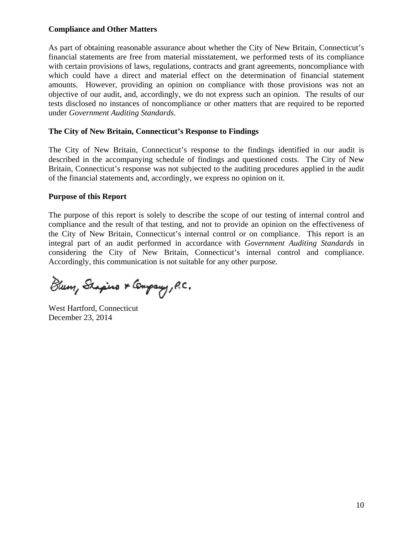#### **Compliance and Other Matters**

As part of obtaining reasonable assurance about whether the City of New Britain, Connecticut's financial statements are free from material misstatement, we performed tests of its compliance with certain provisions of laws, regulations, contracts and grant agreements, noncompliance with which could have a direct and material effect on the determination of financial statement amounts. However, providing an opinion on compliance with those provisions was not an objective of our audit, and, accordingly, we do not express such an opinion. The results of our tests disclosed no instances of noncompliance or other matters that are required to be reported under *Government Auditing Standards*.

#### **The City of New Britain, Connecticut's Response to Findings**

The City of New Britain, Connecticut's response to the findings identified in our audit is described in the accompanying schedule of findings and questioned costs. The City of New Britain, Connecticut's response was not subjected to the auditing procedures applied in the audit of the financial statements and, accordingly, we express no opinion on it.

#### **Purpose of this Report**

The purpose of this report is solely to describe the scope of our testing of internal control and compliance and the result of that testing, and not to provide an opinion on the effectiveness of the City of New Britain, Connecticut's internal control or on compliance. This report is an integral part of an audit performed in accordance with *Government Auditing Standards* in considering the City of New Britain, Connecticut's internal control and compliance. Accordingly, this communication is not suitable for any other purpose.

Blum, Shapino & Company, P.C.

West Hartford, Connecticut December 23, 2014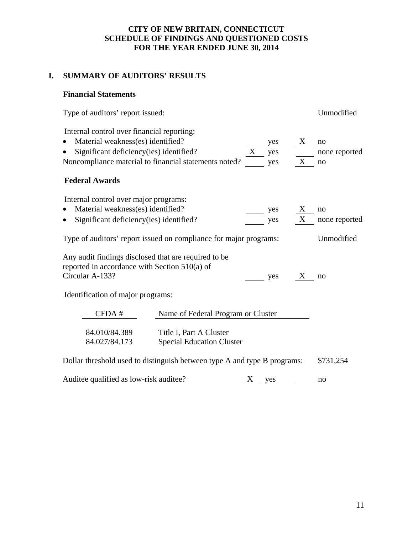#### **CITY OF NEW BRITAIN, CONNECTICUT SCHEDULE OF FINDINGS AND QUESTIONED COSTS FOR THE YEAR ENDED JUNE 30, 2014**

# **I. SUMMARY OF AUDITORS' RESULTS**

#### **Financial Statements**

| Type of auditors' report issued:                                                                                                                                                                                                                 |                                                             | Unmodified |                           |            |                     |
|--------------------------------------------------------------------------------------------------------------------------------------------------------------------------------------------------------------------------------------------------|-------------------------------------------------------------|------------|---------------------------|------------|---------------------|
| Internal control over financial reporting:<br>Material weakness(es) identified?<br>X<br>yes<br>Significant deficiency(ies) identified?<br>X<br>yes<br>Noncompliance material to financial statements noted?<br>X<br>yes<br><b>Federal Awards</b> |                                                             |            | no<br>none reported<br>no |            |                     |
|                                                                                                                                                                                                                                                  |                                                             |            |                           |            |                     |
| Internal control over major programs:<br>Material weakness(es) identified?<br>Significant deficiency (ies) identified?<br>$\bullet$                                                                                                              |                                                             |            | yes<br>yes                | X<br>X     | no<br>none reported |
| Type of auditors' report issued on compliance for major programs:                                                                                                                                                                                |                                                             |            |                           | Unmodified |                     |
| Any audit findings disclosed that are required to be<br>reported in accordance with Section $510(a)$ of<br>Circular A-133?                                                                                                                       |                                                             |            | yes                       | X          | no                  |
| Identification of major programs:                                                                                                                                                                                                                |                                                             |            |                           |            |                     |
| CFDA#                                                                                                                                                                                                                                            | Name of Federal Program or Cluster                          |            |                           |            |                     |
| 84.010/84.389<br>84.027/84.173                                                                                                                                                                                                                   | Title I, Part A Cluster<br><b>Special Education Cluster</b> |            |                           |            |                     |
| Dollar threshold used to distinguish between type A and type B programs:                                                                                                                                                                         |                                                             |            |                           | \$731,254  |                     |
| Auditee qualified as low-risk auditee?                                                                                                                                                                                                           |                                                             | X          | yes                       |            | no                  |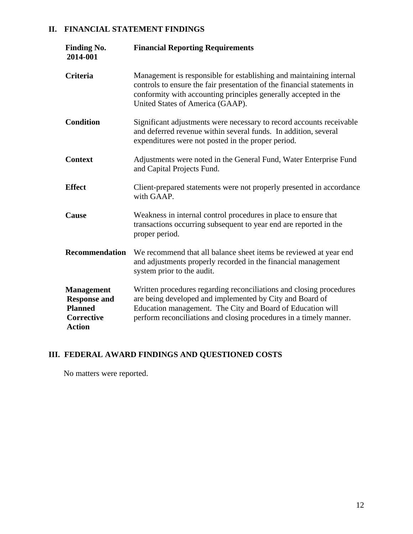# **II. FINANCIAL STATEMENT FINDINGS**

| <b>Finding No.</b><br>2014-001                                                            | <b>Financial Reporting Requirements</b>                                                                                                                                                                                                                             |
|-------------------------------------------------------------------------------------------|---------------------------------------------------------------------------------------------------------------------------------------------------------------------------------------------------------------------------------------------------------------------|
| <b>Criteria</b>                                                                           | Management is responsible for establishing and maintaining internal<br>controls to ensure the fair presentation of the financial statements in<br>conformity with accounting principles generally accepted in the<br>United States of America (GAAP).               |
| <b>Condition</b>                                                                          | Significant adjustments were necessary to record accounts receivable<br>and deferred revenue within several funds. In addition, several<br>expenditures were not posted in the proper period.                                                                       |
| <b>Context</b>                                                                            | Adjustments were noted in the General Fund, Water Enterprise Fund<br>and Capital Projects Fund.                                                                                                                                                                     |
| <b>Effect</b>                                                                             | Client-prepared statements were not properly presented in accordance<br>with GAAP.                                                                                                                                                                                  |
| Cause                                                                                     | Weakness in internal control procedures in place to ensure that<br>transactions occurring subsequent to year end are reported in the<br>proper period.                                                                                                              |
| <b>Recommendation</b>                                                                     | We recommend that all balance sheet items be reviewed at year end<br>and adjustments properly recorded in the financial management<br>system prior to the audit.                                                                                                    |
| <b>Management</b><br><b>Response and</b><br><b>Planned</b><br>Corrective<br><b>Action</b> | Written procedures regarding reconciliations and closing procedures<br>are being developed and implemented by City and Board of<br>Education management. The City and Board of Education will<br>perform reconciliations and closing procedures in a timely manner. |

# **III. FEDERAL AWARD FINDINGS AND QUESTIONED COSTS**

No matters were reported.